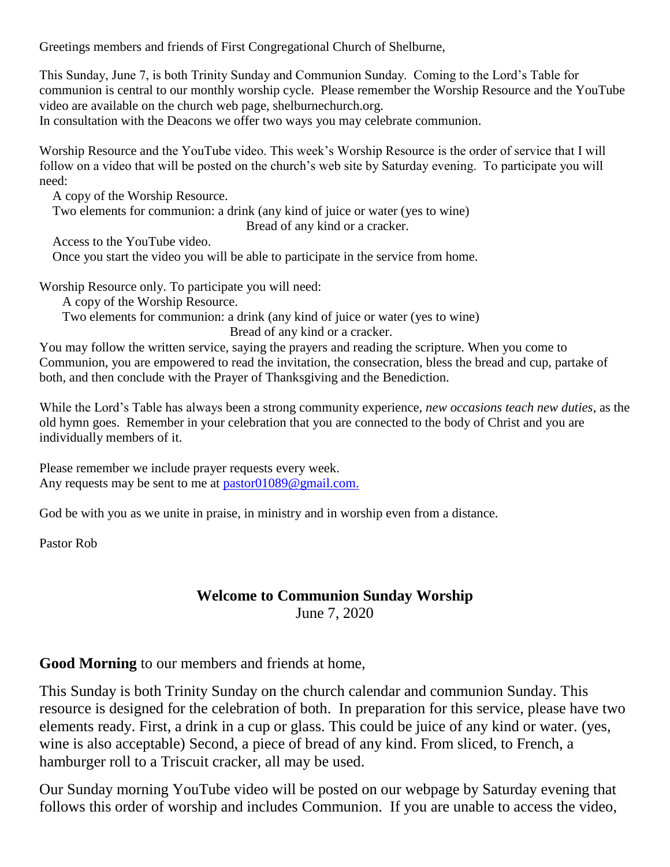Greetings members and friends of First Congregational Church of Shelburne,

This Sunday, June 7, is both Trinity Sunday and Communion Sunday. Coming to the Lord's Table for communion is central to our monthly worship cycle. Please remember the Worship Resource and the YouTube video are available on the church web page, shelburnechurch.org.

In consultation with the Deacons we offer two ways you may celebrate communion.

Worship Resource and the YouTube video. This week's Worship Resource is the order of service that I will follow on a video that will be posted on the church's web site by Saturday evening. To participate you will need:

A copy of the Worship Resource.

Two elements for communion: a drink (any kind of juice or water (yes to wine)

Bread of any kind or a cracker.

Access to the YouTube video.

Once you start the video you will be able to participate in the service from home.

Worship Resource only. To participate you will need:

A copy of the Worship Resource.

Two elements for communion: a drink (any kind of juice or water (yes to wine)

Bread of any kind or a cracker.

You may follow the written service, saying the prayers and reading the scripture. When you come to Communion, you are empowered to read the invitation, the consecration, bless the bread and cup, partake of both, and then conclude with the Prayer of Thanksgiving and the Benediction.

While the Lord's Table has always been a strong community experience, *new occasions teach new duties*, as the old hymn goes. Remember in your celebration that you are connected to the body of Christ and you are individually members of it.

Please remember we include prayer requests every week. Any requests may be sent to me at [pastor01089@gmail.com.](mailto:pastor01089@gmail.com)

God be with you as we unite in praise, in ministry and in worship even from a distance.

Pastor Rob

#### **Welcome to Communion Sunday Worship** June 7, 2020

**Good Morning** to our members and friends at home,

This Sunday is both Trinity Sunday on the church calendar and communion Sunday. This resource is designed for the celebration of both. In preparation for this service, please have two elements ready. First, a drink in a cup or glass. This could be juice of any kind or water. (yes, wine is also acceptable) Second, a piece of bread of any kind. From sliced, to French, a hamburger roll to a Triscuit cracker, all may be used.

Our Sunday morning YouTube video will be posted on our webpage by Saturday evening that follows this order of worship and includes Communion. If you are unable to access the video,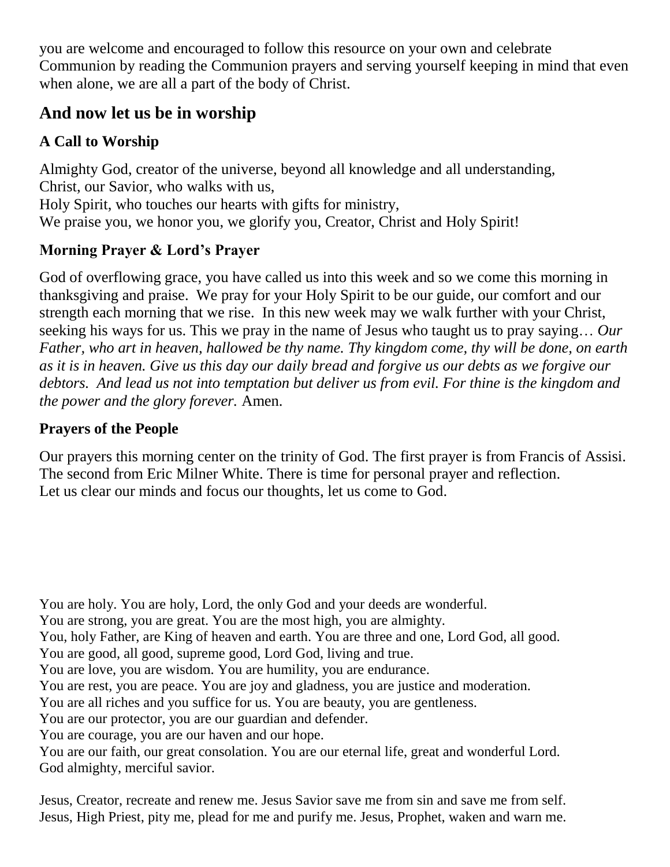you are welcome and encouraged to follow this resource on your own and celebrate Communion by reading the Communion prayers and serving yourself keeping in mind that even when alone, we are all a part of the body of Christ.

## **And now let us be in worship**

## **A Call to Worship**

Almighty God, creator of the universe, beyond all knowledge and all understanding, Christ, our Savior, who walks with us, Holy Spirit, who touches our hearts with gifts for ministry, We praise you, we honor you, we glorify you, Creator, Christ and Holy Spirit!

## **Morning Prayer & Lord's Prayer**

God of overflowing grace, you have called us into this week and so we come this morning in thanksgiving and praise. We pray for your Holy Spirit to be our guide, our comfort and our strength each morning that we rise. In this new week may we walk further with your Christ, seeking his ways for us. This we pray in the name of Jesus who taught us to pray saying… *Our Father, who art in heaven, hallowed be thy name. Thy kingdom come, thy will be done, on earth as it is in heaven. Give us this day our daily bread and forgive us our debts as we forgive our debtors. And lead us not into temptation but deliver us from evil. For thine is the kingdom and the power and the glory forever.* Amen.

# **Prayers of the People**

Our prayers this morning center on the trinity of God. The first prayer is from Francis of Assisi. The second from Eric Milner White. There is time for personal prayer and reflection. Let us clear our minds and focus our thoughts, let us come to God.

You are holy. You are holy, Lord, the only God and your deeds are wonderful.

You are strong, you are great. You are the most high, you are almighty.

You, holy Father, are King of heaven and earth. You are three and one, Lord God, all good.

You are good, all good, supreme good, Lord God, living and true.

You are love, you are wisdom. You are humility, you are endurance.

You are rest, you are peace. You are joy and gladness, you are justice and moderation.

You are all riches and you suffice for us. You are beauty, you are gentleness.

You are our protector, you are our guardian and defender.

You are courage, you are our haven and our hope.

You are our faith, our great consolation. You are our eternal life, great and wonderful Lord. God almighty, merciful savior.

Jesus, Creator, recreate and renew me. Jesus Savior save me from sin and save me from self. Jesus, High Priest, pity me, plead for me and purify me. Jesus, Prophet, waken and warn me.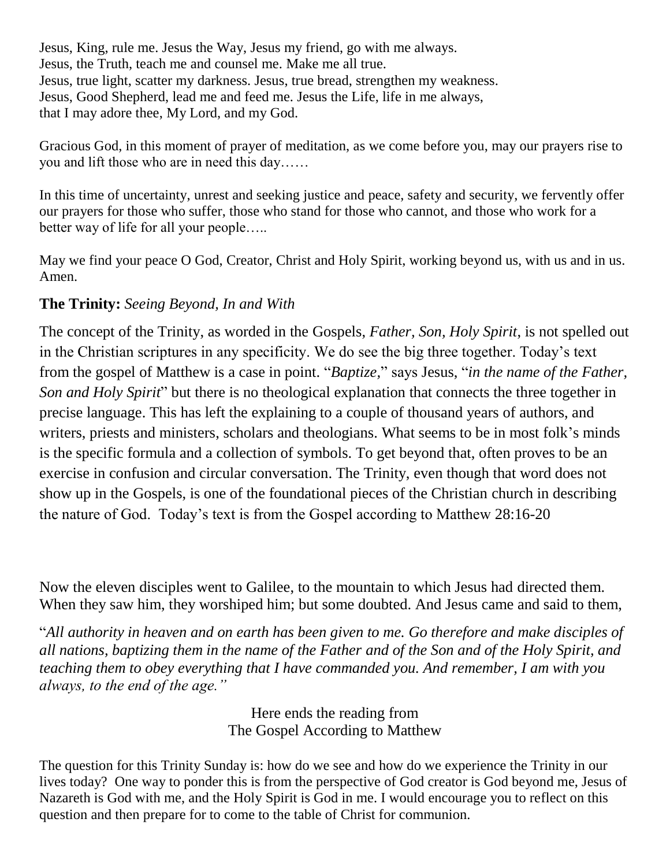Jesus, King, rule me. Jesus the Way, Jesus my friend, go with me always. Jesus, the Truth, teach me and counsel me. Make me all true. Jesus, true light, scatter my darkness. Jesus, true bread, strengthen my weakness. Jesus, Good Shepherd, lead me and feed me. Jesus the Life, life in me always, that I may adore thee, My Lord, and my God.

Gracious God, in this moment of prayer of meditation, as we come before you, may our prayers rise to you and lift those who are in need this day……

In this time of uncertainty, unrest and seeking justice and peace, safety and security, we fervently offer our prayers for those who suffer, those who stand for those who cannot, and those who work for a better way of life for all your people…..

May we find your peace O God, Creator, Christ and Holy Spirit, working beyond us, with us and in us. Amen.

## **The Trinity:** *Seeing Beyond, In and With*

The concept of the Trinity, as worded in the Gospels, *Father, Son, Holy Spirit*, is not spelled out in the Christian scriptures in any specificity. We do see the big three together. Today's text from the gospel of Matthew is a case in point. "*Baptize,*" says Jesus, "*in the name of the Father, Son and Holy Spirit*" but there is no theological explanation that connects the three together in precise language. This has left the explaining to a couple of thousand years of authors, and writers, priests and ministers, scholars and theologians. What seems to be in most folk's minds is the specific formula and a collection of symbols. To get beyond that, often proves to be an exercise in confusion and circular conversation. The Trinity, even though that word does not show up in the Gospels, is one of the foundational pieces of the Christian church in describing the nature of God. Today's text is from the Gospel according to Matthew 28:16-20

Now the eleven disciples went to Galilee, to the mountain to which Jesus had directed them. When they saw him, they worshiped him; but some doubted. And Jesus came and said to them,

"*All authority in heaven and on earth has been given to me. Go therefore and make disciples of all nations, baptizing them in the name of the Father and of the Son and of the Holy Spirit, and teaching them to obey everything that I have commanded you. And remember, I am with you always, to the end of the age."*

> Here ends the reading from The Gospel According to Matthew

The question for this Trinity Sunday is: how do we see and how do we experience the Trinity in our lives today? One way to ponder this is from the perspective of God creator is God beyond me, Jesus of Nazareth is God with me, and the Holy Spirit is God in me. I would encourage you to reflect on this question and then prepare for to come to the table of Christ for communion.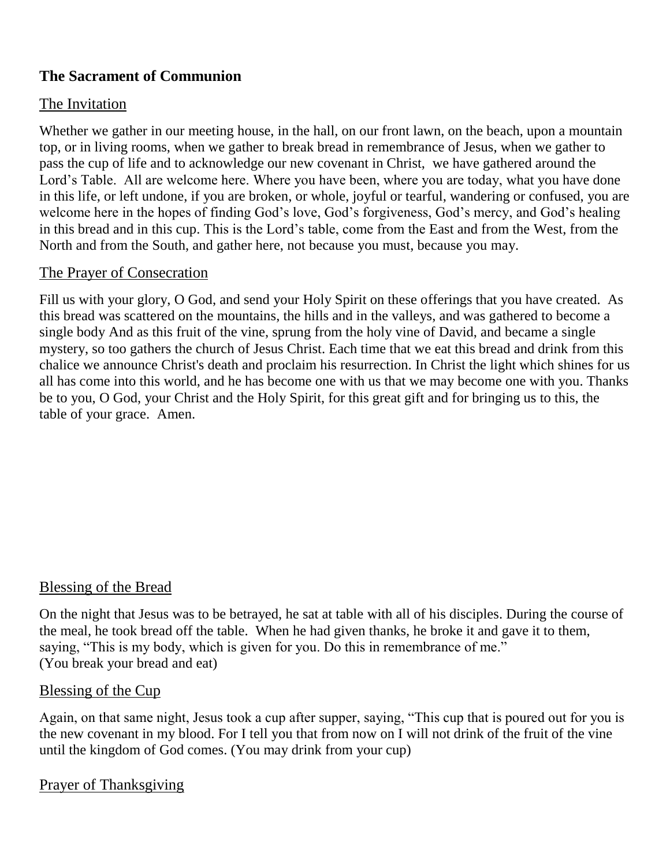## **The Sacrament of Communion**

### The Invitation

Whether we gather in our meeting house, in the hall, on our front lawn, on the beach, upon a mountain top, or in living rooms, when we gather to break bread in remembrance of Jesus, when we gather to pass the cup of life and to acknowledge our new covenant in Christ, we have gathered around the Lord's Table. All are welcome here. Where you have been, where you are today, what you have done in this life, or left undone, if you are broken, or whole, joyful or tearful, wandering or confused, you are welcome here in the hopes of finding God's love, God's forgiveness, God's mercy, and God's healing in this bread and in this cup. This is the Lord's table, come from the East and from the West, from the North and from the South, and gather here, not because you must, because you may.

#### The Prayer of Consecration

Fill us with your glory, O God, and send your Holy Spirit on these offerings that you have created. As this bread was scattered on the mountains, the hills and in the valleys, and was gathered to become a single body And as this fruit of the vine, sprung from the holy vine of David, and became a single mystery, so too gathers the church of Jesus Christ. Each time that we eat this bread and drink from this chalice we announce Christ's death and proclaim his resurrection. In Christ the light which shines for us all has come into this world, and he has become one with us that we may become one with you. Thanks be to you, O God, your Christ and the Holy Spirit, for this great gift and for bringing us to this, the table of your grace. Amen.

### Blessing of the Bread

On the night that Jesus was to be betrayed, he sat at table with all of his disciples. During the course of the meal, he took bread off the table. When he had given thanks, he broke it and gave it to them, saying, "This is my body, which is given for you. Do this in remembrance of me." (You break your bread and eat)

#### **Blessing of the Cup**

Again, on that same night, Jesus took a cup after supper, saying, "This cup that is poured out for you is the new covenant in my blood. For I tell you that from now on I will not drink of the fruit of the vine until the kingdom of God comes. (You may drink from your cup)

#### Prayer of Thanksgiving